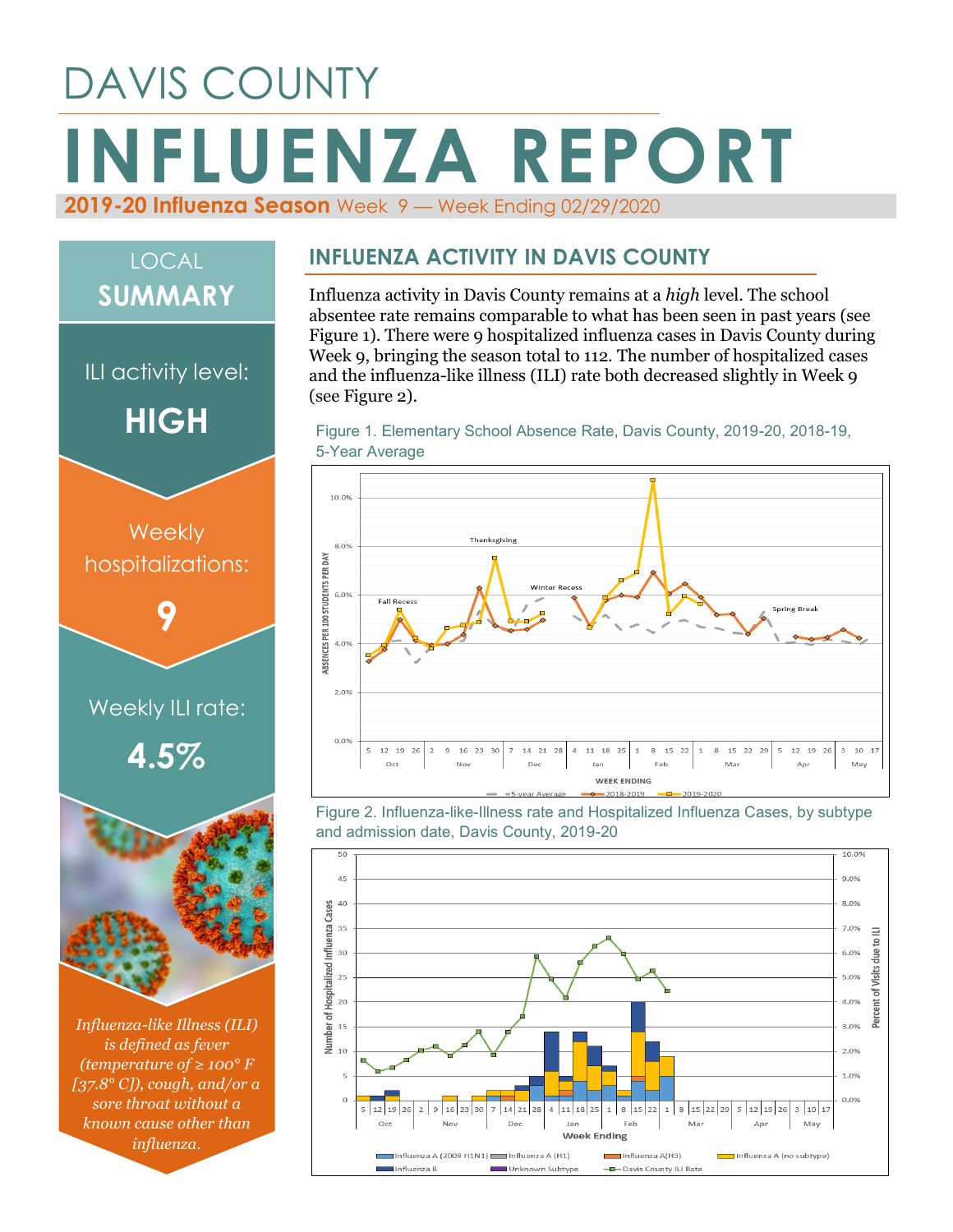# DAVIS COUNTY **INFLUENZA REPORT 2019-20 Influenza Season** Week 9 — Week Ending 02/29/2020



*(temperature of ≥ 100° F [37.8° C]), cough, and/or a sore throat without a known cause other than influenza.*

#### **INFLUENZA ACTIVITY IN DAVIS COUNTY**

Influenza activity in Davis County remains at a *high* level. The school absentee rate remains comparable to what has been seen in past years (see Figure 1). There were 9 hospitalized influenza cases in Davis County during Week 9, bringing the season total to 112. The number of hospitalized cases and the influenza-like illness (ILI) rate both decreased slightly in Week 9 (see Figure 2).

Figure 1. Elementary School Absence Rate, Davis County, 2019-20, 2018-19, 5-Year Average



Figure 2. Influenza-like-Illness rate and Hospitalized Influenza Cases, by subtype and admission date, Davis County, 2019-20